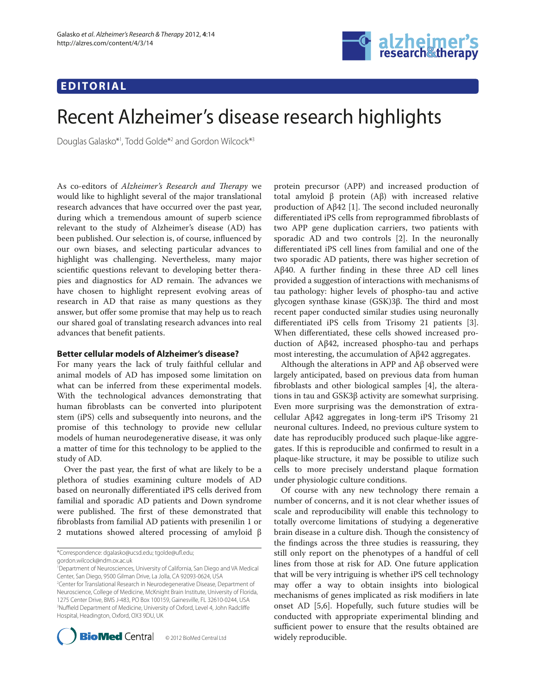# **EDITORIAL**



# Recent Alzheimer's disease research highlights

Douglas Galasko\*1 , Todd Golde\*2 and Gordon Wilcock\*3

As co-editors of *Alzheimer's Research and Therapy* we would like to highlight several of the major translational research advances that have occurred over the past year, during which a tremendous amount of superb science relevant to the study of Alzheimer's disease (AD) has been published. Our selection is, of course, influenced by our own biases, and selecting particular advances to highlight was challenging. Nevertheless, many major scientific questions relevant to developing better therapies and diagnostics for AD remain. The advances we have chosen to highlight represent evolving areas of research in AD that raise as many questions as they answer, but offer some promise that may help us to reach our shared goal of translating research advances into real advances that benefit patients.

## **Better cellular models of Alzheimer's disease?**

For many years the lack of truly faithful cellular and animal models of AD has imposed some limitation on what can be inferred from these experimental models. With the technological advances demonstrating that human fibroblasts can be converted into pluripotent stem (iPS) cells and subsequently into neurons, and the promise of this technology to provide new cellular models of human neurodegenerative disease, it was only a matter of time for this technology to be applied to the study of AD.

Over the past year, the first of what are likely to be a plethora of studies examining culture models of AD based on neuronally differentiated iPS cells derived from familial and sporadic AD patients and Down syndrome were published. The first of these demonstrated that fibroblasts from familial AD patients with presenilin 1 or 2 mutations showed altered processing of amyloid β

<sup>1</sup> Department of Neurosciences, University of California, San Diego and VA Medical Center, San Diego, 9500 Gilman Drive, La Jolla, CA 92093-0624, USA 2 Center for Translational Research in Neurodegenerative Disease, Department of Neuroscience, College of Medicine, McKnight Brain Institute, University of Florida, 1275 Center Drive, BMS J-483, PO Box 100159, Gainesville, FL 32610-0244, USA <sup>3</sup>Nuffield Department of Medicine, University of Oxford, Level 4, John Radcliffe





protein precursor (APP) and increased production of total amyloid β protein (Aβ) with increased relative production of Aβ42 [1]. The second included neuronally differentiated iPS cells from reprogrammed fibroblasts of two APP gene duplication carriers, two patients with sporadic AD and two controls [2]. In the neuronally differentiated iPS cell lines from familial and one of the two sporadic AD patients, there was higher secretion of Aβ40. A further finding in these three AD cell lines provided a suggestion of interactions with mechanisms of tau pathology: higher levels of phospho-tau and active glycogen synthase kinase (GSK)3β. The third and most recent paper conducted similar studies using neuronally differentiated iPS cells from Trisomy 21 patients [3]. When differentiated, these cells showed increased production of Aβ42, increased phospho-tau and perhaps most interesting, the accumulation of Aβ42 aggregates.

Although the alterations in APP and Aβ observed were largely anticipated, based on previous data from human fibroblasts and other biological samples [4], the alterations in tau and GSK3β activity are somewhat surprising. Even more surprising was the demonstration of extracellular Aβ42 aggregates in long-term iPS Trisomy 21 neuronal cultures. Indeed, no previous culture system to date has reproducibly produced such plaque-like aggregates. If this is reproducible and confirmed to result in a plaque-like structure, it may be possible to utilize such cells to more precisely understand plaque formation under physiologic culture conditions.

Of course with any new technology there remain a number of concerns, and it is not clear whether issues of scale and reproducibility will enable this technology to totally overcome limitations of studying a degenerative brain disease in a culture dish. Though the consistency of the findings across the three studies is reassuring, they still only report on the phenotypes of a handful of cell lines from those at risk for AD. One future application that will be very intriguing is whether iPS cell technology may offer a way to obtain insights into biological mechanisms of genes implicated as risk modifiers in late onset AD [5,6]. Hopefully, such future studies will be conducted with appropriate experimental blinding and sufficient power to ensure that the results obtained are

<sup>\*</sup>Correspondence: dgalasko@ucsd.edu; tgolde@ufl .edu;

gordon.wilcock@ndm.ox.ac.uk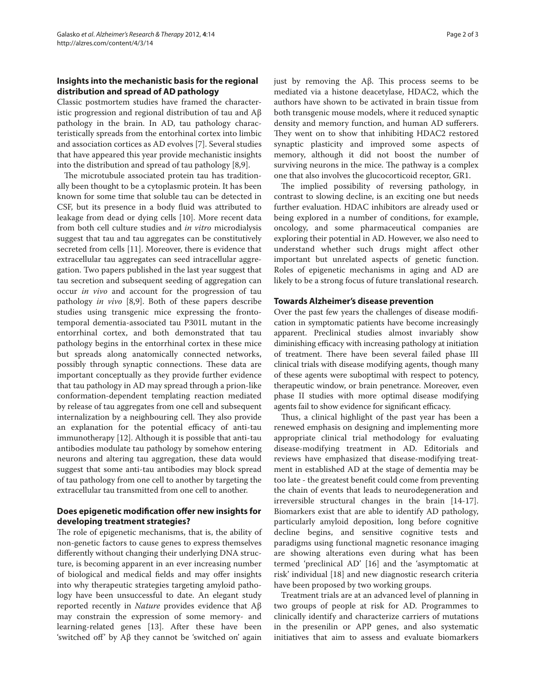# **Insights into the mechanistic basis for the regional distribution and spread of AD pathology**

Classic postmortem studies have framed the characteristic progression and regional distribution of tau and Aβ pathology in the brain. In AD, tau pathology characteristically spreads from the entorhinal cortex into limbic and association cortices as AD evolves [7]. Several studies that have appeared this year provide mechanistic insights into the distribution and spread of tau pathology [8,9].

The microtubule associated protein tau has traditionally been thought to be a cytoplasmic protein. It has been known for some time that soluble tau can be detected in CSF, but its presence in a body fluid was attributed to leakage from dead or dying cells [10]. More recent data from both cell culture studies and *in vitro* microdialysis suggest that tau and tau aggregates can be constitutively secreted from cells [11]. Moreover, there is evidence that extracellular tau aggregates can seed intracellular aggregation. Two papers published in the last year suggest that tau secretion and subsequent seeding of aggregation can occur *in vivo* and account for the progression of tau pathology *in vivo* [8,9]. Both of these papers describe studies using transgenic mice expressing the frontotemporal dementia-associated tau P301L mutant in the entorrhinal cortex, and both demonstrated that tau pathology begins in the entorrhinal cortex in these mice but spreads along anatomically connected networks, possibly through synaptic connections. These data are important conceptually as they provide further evidence that tau pathology in AD may spread through a prion-like conformation-dependent templating reaction mediated by release of tau aggregates from one cell and subsequent internalization by a neighbouring cell. They also provide an explanation for the potential efficacy of anti-tau immuno therapy [12]. Although it is possible that anti-tau antibodies modulate tau pathology by somehow entering neurons and altering tau aggregation, these data would suggest that some anti-tau antibodies may block spread of tau pathology from one cell to another by targeting the extracellular tau transmitted from one cell to another.

# **Does epigenetic modification offer new insights for developing treatment strategies?**

The role of epigenetic mechanisms, that is, the ability of non-genetic factors to cause genes to express themselves differently without changing their underlying DNA structure, is becoming apparent in an ever increasing number of biological and medical fields and may offer insights into why therapeutic strategies targeting amyloid pathology have been unsuccessful to date. An elegant study reported recently in *Nature* provides evidence that Aβ may constrain the expression of some memory- and learning-related genes [13]. After these have been 'switched off' by  $A\beta$  they cannot be 'switched on' again

just by removing the Aβ. This process seems to be mediated via a histone deacetylase, HDAC2, which the authors have shown to be activated in brain tissue from both transgenic mouse models, where it reduced synaptic density and memory function, and human AD sufferers. They went on to show that inhibiting HDAC2 restored synaptic plasticity and improved some aspects of memory, although it did not boost the number of surviving neurons in the mice. The pathway is a complex one that also involves the glucocorticoid receptor, GR1.

The implied possibility of reversing pathology, in contrast to slowing decline, is an exciting one but needs further evaluation. HDAC inhibitors are already used or being explored in a number of conditions, for example, oncology, and some pharmaceutical companies are exploring their potential in AD. However, we also need to understand whether such drugs might affect other important but unrelated aspects of genetic function. Roles of epigenetic mechanisms in aging and AD are likely to be a strong focus of future translational research.

## **Towards Alzheimer's disease prevention**

Over the past few years the challenges of disease modification in symptomatic patients have become increasingly apparent. Preclinical studies almost invariably show diminishing efficacy with increasing pathology at initiation of treatment. There have been several failed phase III clinical trials with disease modifying agents, though many of these agents were suboptimal with respect to potency, therapeutic window, or brain penetrance. Moreover, even phase II studies with more optimal disease modifying agents fail to show evidence for significant efficacy.

Thus, a clinical highlight of the past year has been a renewed emphasis on designing and implementing more appropriate clinical trial methodology for evaluating disease-modifying treatment in AD. Editorials and reviews have emphasized that disease-modifying treatment in established AD at the stage of dementia may be too late - the greatest benefit could come from preventing the chain of events that leads to neurodegeneration and irreversible structural changes in the brain [14-17]. Biomarkers exist that are able to identify AD pathology, particularly amyloid deposition, long before cognitive decline begins, and sensitive cognitive tests and paradigms using functional magnetic resonance imaging are showing alterations even during what has been termed 'preclinical AD' [16] and the 'asymptomatic at risk' individual [18] and new diagnostic research criteria have been proposed by two working groups.

Treatment trials are at an advanced level of planning in two groups of people at risk for AD. Programmes to clinically identify and characterize carriers of mutations in the presenilin or APP genes, and also systematic initiatives that aim to assess and evaluate biomarkers